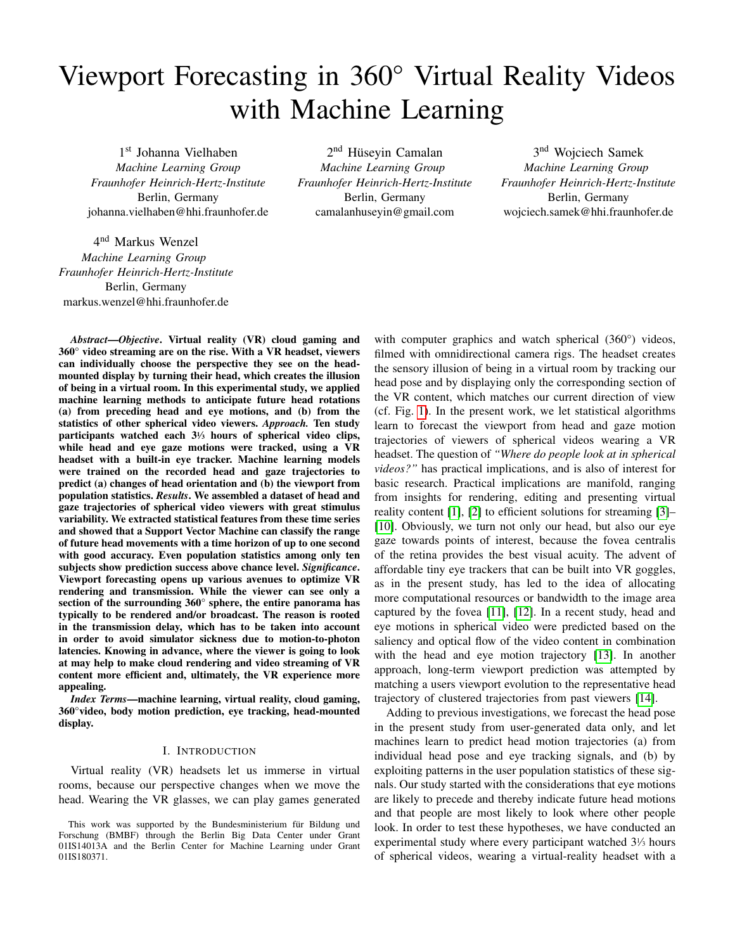# Viewport Forecasting in 360° Virtual Reality Videos with Machine Learning

1 st Johanna Vielhaben *Machine Learning Group Fraunhofer Heinrich-Hertz-Institute* Berlin, Germany johanna.vielhaben@hhi.fraunhofer.de

4<sup>nd</sup> Markus Wenzel *Machine Learning Group Fraunhofer Heinrich-Hertz-Institute* Berlin, Germany markus.wenzel@hhi.fraunhofer.de

2<sup>nd</sup> Hüseyin Camalan *Machine Learning Group Fraunhofer Heinrich-Hertz-Institute* Berlin, Germany camalanhuseyin@gmail.com

3<sup>nd</sup> Wojciech Samek *Machine Learning Group Fraunhofer Heinrich-Hertz-Institute* Berlin, Germany wojciech.samek@hhi.fraunhofer.de

*Abstract*—*Objective*. Virtual reality (VR) cloud gaming and 360° video streaming are on the rise. With a VR headset, viewers can individually choose the perspective they see on the headmounted display by turning their head, which creates the illusion of being in a virtual room. In this experimental study, we applied machine learning methods to anticipate future head rotations (a) from preceding head and eye motions, and (b) from the statistics of other spherical video viewers. *Approach.* Ten study participants watched each 3<sup>1</sup> ⁄<sup>3</sup> hours of spherical video clips, while head and eye gaze motions were tracked, using a VR headset with a built-in eye tracker. Machine learning models were trained on the recorded head and gaze trajectories to predict (a) changes of head orientation and (b) the viewport from population statistics. *Results*. We assembled a dataset of head and gaze trajectories of spherical video viewers with great stimulus variability. We extracted statistical features from these time series and showed that a Support Vector Machine can classify the range of future head movements with a time horizon of up to one second with good accuracy. Even population statistics among only ten subjects show prediction success above chance level. *Significance*. Viewport forecasting opens up various avenues to optimize VR rendering and transmission. While the viewer can see only a section of the surrounding 360° sphere, the entire panorama has typically to be rendered and/or broadcast. The reason is rooted in the transmission delay, which has to be taken into account in order to avoid simulator sickness due to motion-to-photon latencies. Knowing in advance, where the viewer is going to look at may help to make cloud rendering and video streaming of VR content more efficient and, ultimately, the VR experience more appealing.

*Index Terms*—machine learning, virtual reality, cloud gaming, 360°video, body motion prediction, eye tracking, head-mounted display.

## I. INTRODUCTION

Virtual reality (VR) headsets let us immerse in virtual rooms, because our perspective changes when we move the head. Wearing the VR glasses, we can play games generated

with computer graphics and watch spherical (360°) videos, filmed with omnidirectional camera rigs. The headset creates the sensory illusion of being in a virtual room by tracking our head pose and by displaying only the corresponding section of the VR content, which matches our current direction of view (cf. Fig. [1\)](#page-1-0). In the present work, we let statistical algorithms learn to forecast the viewport from head and gaze motion trajectories of viewers of spherical videos wearing a VR headset. The question of *"Where do people look at in spherical videos?"* has practical implications, and is also of interest for basic research. Practical implications are manifold, ranging from insights for rendering, editing and presenting virtual reality content [\[1\]](#page-6-0), [\[2\]](#page-6-1) to efficient solutions for streaming [\[3\]](#page-6-2)– [\[10\]](#page-6-3). Obviously, we turn not only our head, but also our eye gaze towards points of interest, because the fovea centralis of the retina provides the best visual acuity. The advent of affordable tiny eye trackers that can be built into VR goggles, as in the present study, has led to the idea of allocating more computational resources or bandwidth to the image area captured by the fovea [\[11\]](#page-6-4), [\[12\]](#page-6-5). In a recent study, head and eye motions in spherical video were predicted based on the saliency and optical flow of the video content in combination with the head and eye motion trajectory [\[13\]](#page-6-6). In another approach, long-term viewport prediction was attempted by matching a users viewport evolution to the representative head trajectory of clustered trajectories from past viewers [\[14\]](#page-6-7).

Adding to previous investigations, we forecast the head pose in the present study from user-generated data only, and let machines learn to predict head motion trajectories (a) from individual head pose and eye tracking signals, and (b) by exploiting patterns in the user population statistics of these signals. Our study started with the considerations that eye motions are likely to precede and thereby indicate future head motions and that people are most likely to look where other people look. In order to test these hypotheses, we have conducted an experimental study where every participant watched 3<sup>1</sup> ⁄<sup>3</sup> hours of spherical videos, wearing a virtual-reality headset with a

This work was supported by the Bundesministerium für Bildung und Forschung (BMBF) through the Berlin Big Data Center under Grant 01IS14013A and the Berlin Center for Machine Learning under Grant 01IS180371.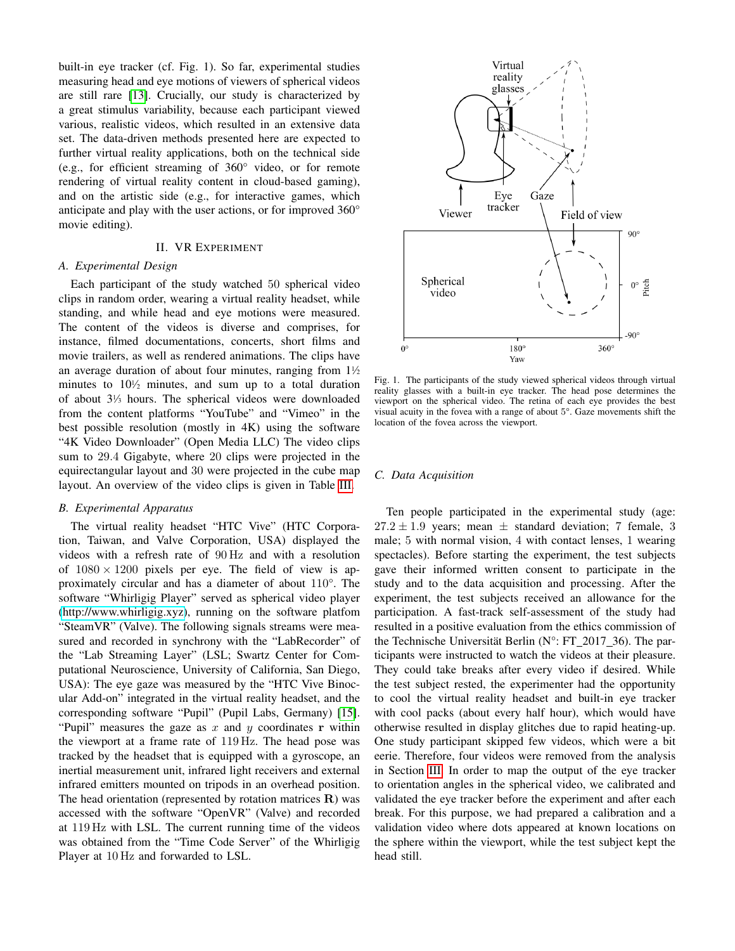built-in eye tracker (cf. Fig. 1). So far, experimental studies measuring head and eye motions of viewers of spherical videos are still rare [\[13\]](#page-6-6). Crucially, our study is characterized by a great stimulus variability, because each participant viewed various, realistic videos, which resulted in an extensive data set. The data-driven methods presented here are expected to further virtual reality applications, both on the technical side (e.g., for efficient streaming of 360° video, or for remote rendering of virtual reality content in cloud-based gaming), and on the artistic side (e.g., for interactive games, which anticipate and play with the user actions, or for improved 360° movie editing).

## II. VR EXPERIMENT

#### *A. Experimental Design*

Each participant of the study watched 50 spherical video clips in random order, wearing a virtual reality headset, while standing, and while head and eye motions were measured. The content of the videos is diverse and comprises, for instance, filmed documentations, concerts, short films and movie trailers, as well as rendered animations. The clips have an average duration of about four minutes, ranging from  $1\frac{1}{2}$ minutes to  $10\frac{1}{2}$  minutes, and sum up to a total duration of about 3<sup>1</sup> ⁄<sup>3</sup> hours. The spherical videos were downloaded from the content platforms "YouTube" and "Vimeo" in the best possible resolution (mostly in 4K) using the software "4K Video Downloader" (Open Media LLC) The video clips sum to 29.4 Gigabyte, where 20 clips were projected in the equirectangular layout and 30 were projected in the cube map layout. An overview of the video clips is given in Table [III.](#page-7-0)

## *B. Experimental Apparatus*

The virtual reality headset "HTC Vive" (HTC Corporation, Taiwan, and Valve Corporation, USA) displayed the videos with a refresh rate of 90 Hz and with a resolution of  $1080 \times 1200$  pixels per eye. The field of view is approximately circular and has a diameter of about 110°. The software "Whirligig Player" served as spherical video player [\(http://www.whirligig.xyz\)](http://www.whirligig.xyz), running on the software platfom "SteamVR" (Valve). The following signals streams were measured and recorded in synchrony with the "LabRecorder" of the "Lab Streaming Layer" (LSL; Swartz Center for Computational Neuroscience, University of California, San Diego, USA): The eye gaze was measured by the "HTC Vive Binocular Add-on" integrated in the virtual reality headset, and the corresponding software "Pupil" (Pupil Labs, Germany) [\[15\]](#page-6-8). "Pupil" measures the gaze as  $x$  and  $y$  coordinates r within the viewport at a frame rate of 119 Hz. The head pose was tracked by the headset that is equipped with a gyroscope, an inertial measurement unit, infrared light receivers and external infrared emitters mounted on tripods in an overhead position. The head orientation (represented by rotation matrices  $R$ ) was accessed with the software "OpenVR" (Valve) and recorded at 119 Hz with LSL. The current running time of the videos was obtained from the "Time Code Server" of the Whirligig Player at 10 Hz and forwarded to LSL.



<span id="page-1-0"></span>Fig. 1. The participants of the study viewed spherical videos through virtual reality glasses with a built-in eye tracker. The head pose determines the viewport on the spherical video. The retina of each eye provides the best visual acuity in the fovea with a range of about 5°. Gaze movements shift the location of the fovea across the viewport.

## *C. Data Acquisition*

Ten people participated in the experimental study (age:  $27.2 \pm 1.9$  years; mean  $\pm$  standard deviation; 7 female, 3 male; 5 with normal vision, 4 with contact lenses, 1 wearing spectacles). Before starting the experiment, the test subjects gave their informed written consent to participate in the study and to the data acquisition and processing. After the experiment, the test subjects received an allowance for the participation. A fast-track self-assessment of the study had resulted in a positive evaluation from the ethics commission of the Technische Universität Berlin ( $N^{\circ}$ : FT\_2017\_36). The participants were instructed to watch the videos at their pleasure. They could take breaks after every video if desired. While the test subject rested, the experimenter had the opportunity to cool the virtual reality headset and built-in eye tracker with cool packs (about every half hour), which would have otherwise resulted in display glitches due to rapid heating-up. One study participant skipped few videos, which were a bit eerie. Therefore, four videos were removed from the analysis in Section [III.](#page-2-0) In order to map the output of the eye tracker to orientation angles in the spherical video, we calibrated and validated the eye tracker before the experiment and after each break. For this purpose, we had prepared a calibration and a validation video where dots appeared at known locations on the sphere within the viewport, while the test subject kept the head still.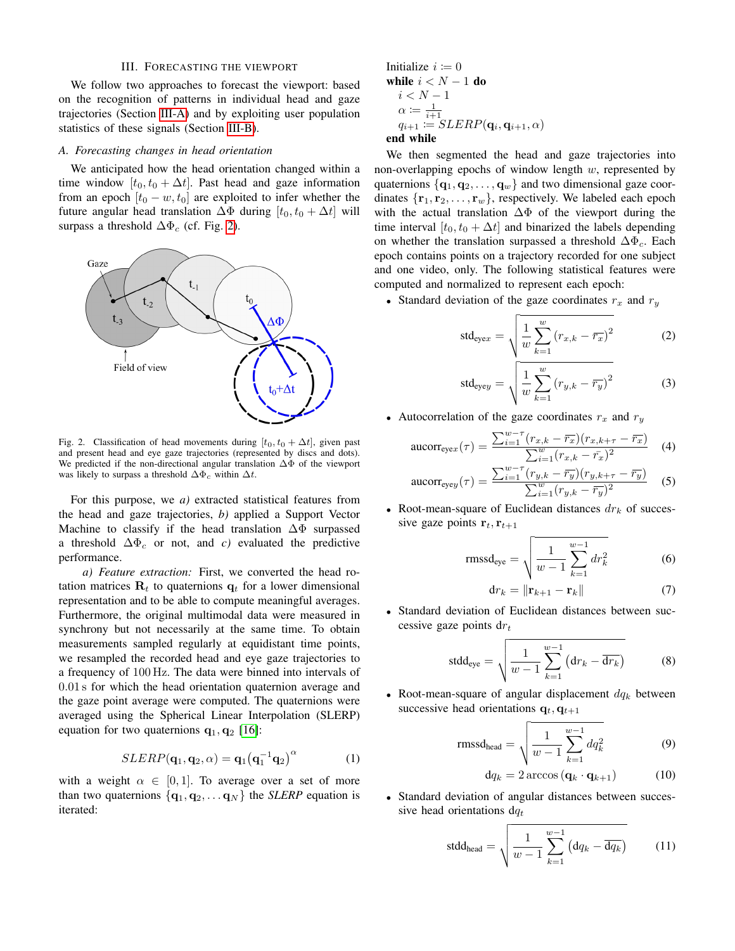#### III. FORECASTING THE VIEWPORT

<span id="page-2-0"></span>We follow two approaches to forecast the viewport: based on the recognition of patterns in individual head and gaze trajectories (Section [III-A\)](#page-2-1) and by exploiting user population statistics of these signals (Section [III-B\)](#page-3-0).

#### <span id="page-2-1"></span>*A. Forecasting changes in head orientation*

We anticipated how the head orientation changed within a time window  $[t_0, t_0 + \Delta t]$ . Past head and gaze information from an epoch  $[t_0 - w, t_0]$  are exploited to infer whether the future angular head translation  $\Delta\Phi$  during  $[t_0, t_0 + \Delta t]$  will surpass a threshold  $\Delta\Phi_c$  (cf. Fig. [2\)](#page-2-2).



<span id="page-2-2"></span>Fig. 2. Classification of head movements during  $[t_0, t_0 + \Delta t]$ , given past and present head and eye gaze trajectories (represented by discs and dots). We predicted if the non-directional angular translation ∆Φ of the viewport was likely to surpass a threshold  $\Delta\Phi_c$  within  $\Delta t$ .

For this purpose, we *a)* extracted statistical features from the head and gaze trajectories, *b)* applied a Support Vector Machine to classify if the head translation  $\Delta\Phi$  surpassed a threshold  $\Delta \Phi_c$  or not, and *c*) evaluated the predictive performance.

*a) Feature extraction:* First, we converted the head rotation matrices  $\mathbf{R}_t$  to quaternions  $\mathbf{q}_t$  for a lower dimensional representation and to be able to compute meaningful averages. Furthermore, the original multimodal data were measured in synchrony but not necessarily at the same time. To obtain measurements sampled regularly at equidistant time points, we resampled the recorded head and eye gaze trajectories to a frequency of 100 Hz. The data were binned into intervals of 0.01 s for which the head orientation quaternion average and the gaze point average were computed. The quaternions were averaged using the Spherical Linear Interpolation (SLERP) equation for two quaternions  $\mathbf{q}_1, \mathbf{q}_2$  [\[16\]](#page-6-9):

<span id="page-2-3"></span>
$$
SLERP(\mathbf{q}_1, \mathbf{q}_2, \alpha) = \mathbf{q}_1(\mathbf{q}_1^{-1}\mathbf{q}_2)^{\alpha} \tag{1}
$$

with a weight  $\alpha \in [0, 1]$ . To average over a set of more than two quaternions  $\{q_1, q_2, \ldots q_N\}$  the *SLERP* equation is iterated:

Initialize 
$$
i := 0
$$

\nwhile  $i < N - 1$  do

\n $i < N - 1$ 

\n $\alpha := \frac{1}{i+1}$ 

\n $q_{i+1} := SLERP(\mathbf{q}_i, \mathbf{q}_{i+1}, \alpha)$ 

## end while

We then segmented the head and gaze trajectories into non-overlapping epochs of window length  $w$ , represented by quaternions  $\{q_1, q_2, \ldots, q_w\}$  and two dimensional gaze coordinates  $\{r_1, r_2, \ldots, r_w\}$ , respectively. We labeled each epoch with the actual translation  $\Delta\Phi$  of the viewport during the time interval  $[t_0, t_0 + \Delta t]$  and binarized the labels depending on whether the translation surpassed a threshold  $\Delta\Phi_c$ . Each epoch contains points on a trajectory recorded for one subject and one video, only. The following statistical features were computed and normalized to represent each epoch:

• Standard deviation of the gaze coordinates  $r_x$  and  $r_y$ 

$$
std_{\text{eye}x} = \sqrt{\frac{1}{w} \sum_{k=1}^{w} (r_{x,k} - \overline{r_x})^2}
$$
 (2)

$$
std_{\text{eye}y} = \sqrt{\frac{1}{w} \sum_{k=1}^{w} (r_{y,k} - \overline{r_y})^2}
$$
 (3)

• Autocorrelation of the gaze coordinates  $r_x$  and  $r_y$ 

$$
\text{aucorr}_{\text{eye}x}(\tau) = \frac{\sum_{i=1}^{w-\tau} (r_{x,k} - \overline{r_x})(r_{x,k+\tau} - \overline{r_x})}{\sum_{i=1}^{w} (r_{x,k} - \overline{r_x})^2} \tag{4}
$$

$$
\text{aucorr}_{\text{eye}y}(\tau) = \frac{\sum_{i=1}^{w-\tau} (r_{y,k} - \overline{r_y})(r_{y,k+\tau} - \overline{r_y})}{\sum_{i=1}^{w} (r_{y,k} - \overline{r_y})^2} \tag{5}
$$

• Root-mean-square of Euclidean distances  $dr_k$  of successive gaze points  $r_t$ ,  $r_{t+1}$ 

$$
rmss d_{eye} = \sqrt{\frac{1}{w - 1} \sum_{k=1}^{w - 1} dr_k^2}
$$
 (6)

$$
\mathrm{d}r_k = \|\mathbf{r}_{k+1} - \mathbf{r}_k\| \tag{7}
$$

• Standard deviation of Euclidean distances between successive gaze points  $dr_t$ 

$$
\text{stdd}_{\text{eye}} = \sqrt{\frac{1}{w-1} \sum_{k=1}^{w-1} \left( \text{d}r_k - \overline{\text{d}r_k} \right)}
$$
(8)

• Root-mean-square of angular displacement  $dq_k$  between successive head orientations  $\mathbf{q}_t, \mathbf{q}_{t+1}$ 

$$
rmsd_{head} = \sqrt{\frac{1}{w-1} \sum_{k=1}^{w-1} dq_k^2}
$$
 (9)

$$
\mathrm{d}q_k = 2\arccos\left(\mathbf{q}_k \cdot \mathbf{q}_{k+1}\right) \tag{10}
$$

• Standard deviation of angular distances between successive head orientations  $dq_t$ 

$$
std_{head} = \sqrt{\frac{1}{w-1} \sum_{k=1}^{w-1} (dq_k - \overline{dq_k})}
$$
 (11)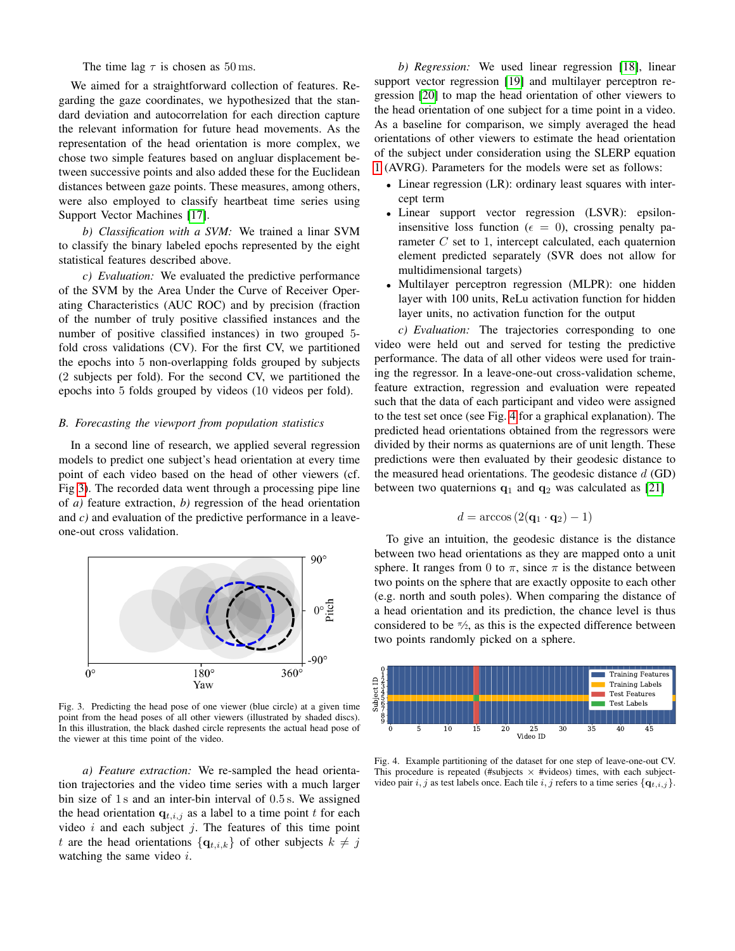The time lag  $\tau$  is chosen as 50 ms.

We aimed for a straightforward collection of features. Regarding the gaze coordinates, we hypothesized that the standard deviation and autocorrelation for each direction capture the relevant information for future head movements. As the representation of the head orientation is more complex, we chose two simple features based on angluar displacement between successive points and also added these for the Euclidean distances between gaze points. These measures, among others, were also employed to classify heartbeat time series using Support Vector Machines [\[17\]](#page-6-10).

*b) Classification with a SVM:* We trained a linar SVM to classify the binary labeled epochs represented by the eight statistical features described above.

*c) Evaluation:* We evaluated the predictive performance of the SVM by the Area Under the Curve of Receiver Operating Characteristics (AUC ROC) and by precision (fraction of the number of truly positive classified instances and the number of positive classified instances) in two grouped 5 fold cross validations (CV). For the first CV, we partitioned the epochs into 5 non-overlapping folds grouped by subjects (2 subjects per fold). For the second CV, we partitioned the epochs into 5 folds grouped by videos (10 videos per fold).

## <span id="page-3-0"></span>*B. Forecasting the viewport from population statistics*

In a second line of research, we applied several regression models to predict one subject's head orientation at every time point of each video based on the head of other viewers (cf. Fig [3\)](#page-3-1). The recorded data went through a processing pipe line of *a)* feature extraction, *b)* regression of the head orientation and *c)* and evaluation of the predictive performance in a leaveone-out cross validation.



<span id="page-3-1"></span>Fig. 3. Predicting the head pose of one viewer (blue circle) at a given time point from the head poses of all other viewers (illustrated by shaded discs). In this illustration, the black dashed circle represents the actual head pose of the viewer at this time point of the video.

*a) Feature extraction:* We re-sampled the head orientation trajectories and the video time series with a much larger bin size of 1 s and an inter-bin interval of 0.5 s. We assigned the head orientation  $q_{t,i,j}$  as a label to a time point t for each video  $i$  and each subject  $j$ . The features of this time point t are the head orientations  $\{q_{t,i,k}\}\$  of other subjects  $k \neq j$ watching the same video  $i$ .

*b) Regression:* We used linear regression [\[18\]](#page-6-11), linear support vector regression [\[19\]](#page-6-12) and multilayer perceptron regression [\[20\]](#page-6-13) to map the head orientation of other viewers to the head orientation of one subject for a time point in a video. As a baseline for comparison, we simply averaged the head orientations of other viewers to estimate the head orientation of the subject under consideration using the SLERP equation [1](#page-2-3) (AVRG). Parameters for the models were set as follows:

- Linear regression (LR): ordinary least squares with intercept term
- Linear support vector regression (LSVR): epsiloninsensitive loss function ( $\epsilon = 0$ ), crossing penalty parameter  $C$  set to 1, intercept calculated, each quaternion element predicted separately (SVR does not allow for multidimensional targets)
- Multilayer perceptron regression (MLPR): one hidden layer with 100 units, ReLu activation function for hidden layer units, no activation function for the output

*c) Evaluation:* The trajectories corresponding to one video were held out and served for testing the predictive performance. The data of all other videos were used for training the regressor. In a leave-one-out cross-validation scheme, feature extraction, regression and evaluation were repeated such that the data of each participant and video were assigned to the test set once (see Fig. [4](#page-3-2) for a graphical explanation). The predicted head orientations obtained from the regressors were divided by their norms as quaternions are of unit length. These predictions were then evaluated by their geodesic distance to the measured head orientations. The geodesic distance  $d$  (GD) between two quaternions  $q_1$  and  $q_2$  was calculated as [\[21\]](#page-6-14)

$$
d = \arccos\left(2(\mathbf{q}_1 \cdot \mathbf{q}_2) - 1\right)
$$

To give an intuition, the geodesic distance is the distance between two head orientations as they are mapped onto a unit sphere. It ranges from 0 to  $\pi$ , since  $\pi$  is the distance between two points on the sphere that are exactly opposite to each other (e.g. north and south poles). When comparing the distance of a head orientation and its prediction, the chance level is thus considered to be  $\pi/2$ , as this is the expected difference between two points randomly picked on a sphere.



<span id="page-3-2"></span>Fig. 4. Example partitioning of the dataset for one step of leave-one-out CV. This procedure is repeated (#subjects  $\times$  #videos) times, with each subjectvideo pair i, j as test labels once. Each tile i, j refers to a time series  $\{q_{t,i,j}\}$ .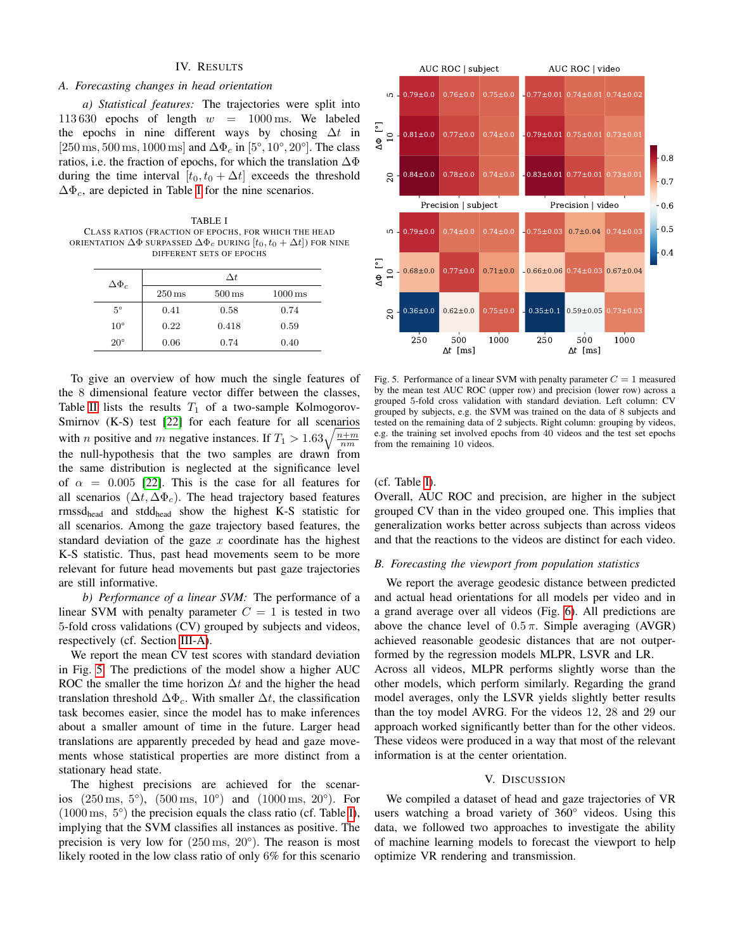#### IV. RESULTS

## *A. Forecasting changes in head orientation*

*a) Statistical features:* The trajectories were split into 113 630 epochs of length  $w = 1000$  ms. We labeled the epochs in nine different ways by chosing  $\Delta t$  in [250 ms, 500 ms, 1000 ms] and  $\Delta\Phi_c$  in [5°, 10°, 20°]. The class ratios, i.e. the fraction of epochs, for which the translation  $\Delta\Phi$ during the time interval  $[t_0, t_0 + \Delta t]$  exceeds the threshold  $\Delta\Phi_c$ , are depicted in Table [I](#page-4-0) for the nine scenarios.

<span id="page-4-0"></span>TABLE I CLASS RATIOS (FRACTION OF EPOCHS, FOR WHICH THE HEAD ORIENTATION  $\Delta \Phi$  surpassed  $\Delta \Phi_c$  during  $[t_0,t_0+\Delta t]$ ) for nine DIFFERENT SETS OF EPOCHS

| $\Delta\Phi_c$ |                     | $\Delta t$          |                      |
|----------------|---------------------|---------------------|----------------------|
|                | $250 \,\mathrm{ms}$ | $500 \,\mathrm{ms}$ | $1000 \,\mathrm{ms}$ |
| $5^{\circ}$    | 0.41                | 0.58                | 0.74                 |
| $10^{\circ}$   | 0.22                | 0.418               | 0.59                 |
| $20^{\circ}$   | 0.06                | 0.74                | 0.40                 |

To give an overview of how much the single features of the 8 dimensional feature vector differ between the classes, Table [II](#page-5-0) lists the results  $T_1$  of a two-sample Kolmogorov-Smirnov (K-S) test [\[22\]](#page-6-15) for each feature for all scenarios with *n* positive and *m* negative instances. If  $T_1 > 1.63 \sqrt{\frac{n+m}{nm}}$ the null-hypothesis that the two samples are drawn from the same distribution is neglected at the significance level of  $\alpha = 0.005$  [\[22\]](#page-6-15). This is the case for all features for all scenarios ( $\Delta t$ ,  $\Delta \Phi_c$ ). The head trajectory based features rmssdhead and stddhead show the highest K-S statistic for all scenarios. Among the gaze trajectory based features, the standard deviation of the gaze  $x$  coordinate has the highest K-S statistic. Thus, past head movements seem to be more relevant for future head movements but past gaze trajectories are still informative.

*b) Performance of a linear SVM:* The performance of a linear SVM with penalty parameter  $C = 1$  is tested in two 5-fold cross validations (CV) grouped by subjects and videos, respectively (cf. Section [III-A\)](#page-2-1).

We report the mean CV test scores with standard deviation in Fig. [5.](#page-4-1) The predictions of the model show a higher AUC ROC the smaller the time horizon  $\Delta t$  and the higher the head translation threshold  $\Delta\Phi_c$ . With smaller  $\Delta t$ , the classification task becomes easier, since the model has to make inferences about a smaller amount of time in the future. Larger head translations are apparently preceded by head and gaze movements whose statistical properties are more distinct from a stationary head state.

The highest precisions are achieved for the scenarios (250 ms, 5°), (500 ms, 10°) and (1000 ms, 20°). For (1000 ms, 5°) the precision equals the class ratio (cf. Table [I\)](#page-4-0), implying that the SVM classifies all instances as positive. The precision is very low for  $(250 \,\text{ms}, 20^{\circ})$ . The reason is most likely rooted in the low class ratio of only 6% for this scenario



<span id="page-4-1"></span>Fig. 5. Performance of a linear SVM with penalty parameter  $C = 1$  measured by the mean test AUC ROC (upper row) and precision (lower row) across a grouped 5-fold cross validation with standard deviation. Left column: CV grouped by subjects, e.g. the SVM was trained on the data of 8 subjects and tested on the remaining data of 2 subjects. Right column: grouping by videos, e.g. the training set involved epochs from 40 videos and the test set epochs from the remaining 10 videos.

#### (cf. Table [I\)](#page-4-0).

Overall, AUC ROC and precision, are higher in the subject grouped CV than in the video grouped one. This implies that generalization works better across subjects than across videos and that the reactions to the videos are distinct for each video.

#### *B. Forecasting the viewport from population statistics*

We report the average geodesic distance between predicted and actual head orientations for all models per video and in a grand average over all videos (Fig. [6\)](#page-5-1). All predictions are above the chance level of  $0.5 \pi$ . Simple averaging (AVGR) achieved reasonable geodesic distances that are not outperformed by the regression models MLPR, LSVR and LR. Across all videos, MLPR performs slightly worse than the other models, which perform similarly. Regarding the grand

model averages, only the LSVR yields slightly better results than the toy model AVRG. For the videos 12, 28 and 29 our approach worked significantly better than for the other videos. These videos were produced in a way that most of the relevant information is at the center orientation.

#### V. DISCUSSION

We compiled a dataset of head and gaze trajectories of VR users watching a broad variety of 360° videos. Using this data, we followed two approaches to investigate the ability of machine learning models to forecast the viewport to help optimize VR rendering and transmission.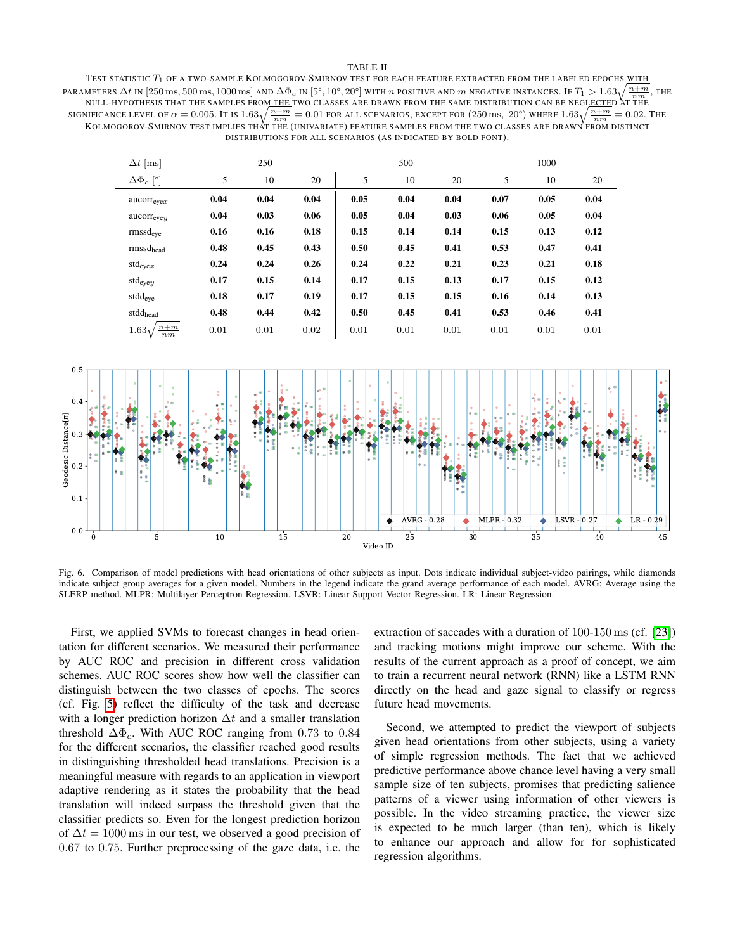#### TABLE II

<span id="page-5-0"></span>TEST STATISTIC  $T_1$  OF A TWO-SAMPLE KOLMOGOROV-SMIRNOV TEST FOR EACH FEATURE EXTRACTED FROM THE LABELED EPOCHS WITH PARAMETERS  $\Delta t$  in [250 ms, 500 ms, 1000 ms] and  $\Delta\Phi_c$  in [5°, 10°, 20°] with  $n$  positive and  $m$  negative instances. If  $T_1>1.63\sqrt{\frac{n+m}{nm}},$  the NULL-HYPOTHESIS THAT THE SAMPLES FROM THE TWO CLASSES ARE DRAWN FROM THE SAME DISTRIBUTION CAN BE NEGLECTED AT THE SIGNIFICANCE LEVEL OF  $\alpha = 0.005$ . It is  $1.63\sqrt{\frac{n+m}{nm}} = 0.01$  for all scenarios, except for  $(250 \text{ ms}, 20^{\circ})$  where  $1.63\sqrt{\frac{n+m}{nm}} = 0.02$ . The KOLMOGOROV-SMIRNOV TEST IMPLIES THAT THE (UNIVARIATE) FEATURE SAMPLES FROM THE TWO CLASSES ARE DRAWN FROM DISTINCT DISTRIBUTIONS FOR ALL SCENARIOS (AS INDICATED BY BOLD FONT).

| $\Delta t$ [ms]         |      | 250  |      |      | 500  |      |      | 1000 |      |
|-------------------------|------|------|------|------|------|------|------|------|------|
| $\Delta\Phi_c$ [°]      | 5    | 10   | 20   | 5    | 10   | 20   | 5    | 10   | 20   |
| $\arccor_{\text{even}}$ | 0.04 | 0.04 | 0.04 | 0.05 | 0.04 | 0.04 | 0.07 | 0.05 | 0.04 |
| aucorr <sub>even</sub>  | 0.04 | 0.03 | 0.06 | 0.05 | 0.04 | 0.03 | 0.06 | 0.05 | 0.04 |
| $rmss$ d <sub>eve</sub> | 0.16 | 0.16 | 0.18 | 0.15 | 0.14 | 0.14 | 0.15 | 0.13 | 0.12 |
| $rmss d_{head}$         | 0.48 | 0.45 | 0.43 | 0.50 | 0.45 | 0.41 | 0.53 | 0.47 | 0.41 |
| $std_{\text{ever}}$     | 0.24 | 0.24 | 0.26 | 0.24 | 0.22 | 0.21 | 0.23 | 0.21 | 0.18 |
| $std_{eyey}$            | 0.17 | 0.15 | 0.14 | 0.17 | 0.15 | 0.13 | 0.17 | 0.15 | 0.12 |
| stdd <sub>eye</sub>     | 0.18 | 0.17 | 0.19 | 0.17 | 0.15 | 0.15 | 0.16 | 0.14 | 0.13 |
| stddhead                | 0.48 | 0.44 | 0.42 | 0.50 | 0.45 | 0.41 | 0.53 | 0.46 | 0.41 |
| $n+m$<br>$1.63_1$<br>nm | 0.01 | 0.01 | 0.02 | 0.01 | 0.01 | 0.01 | 0.01 | 0.01 | 0.01 |



<span id="page-5-1"></span>Fig. 6. Comparison of model predictions with head orientations of other subjects as input. Dots indicate individual subject-video pairings, while diamonds indicate subject group averages for a given model. Numbers in the legend indicate the grand average performance of each model. AVRG: Average using the SLERP method. MLPR: Multilayer Perceptron Regression. LSVR: Linear Support Vector Regression. LR: Linear Regression.

First, we applied SVMs to forecast changes in head orientation for different scenarios. We measured their performance by AUC ROC and precision in different cross validation schemes. AUC ROC scores show how well the classifier can distinguish between the two classes of epochs. The scores (cf. Fig. [5\)](#page-4-1) reflect the difficulty of the task and decrease with a longer prediction horizon  $\Delta t$  and a smaller translation threshold  $\Delta\Phi_c$ . With AUC ROC ranging from 0.73 to 0.84 for the different scenarios, the classifier reached good results in distinguishing thresholded head translations. Precision is a meaningful measure with regards to an application in viewport adaptive rendering as it states the probability that the head translation will indeed surpass the threshold given that the classifier predicts so. Even for the longest prediction horizon of  $\Delta t = 1000 \,\text{ms}$  in our test, we observed a good precision of 0.67 to 0.75. Further preprocessing of the gaze data, i.e. the

extraction of saccades with a duration of 100-150 ms (cf. [\[23\]](#page-6-16)) and tracking motions might improve our scheme. With the results of the current approach as a proof of concept, we aim to train a recurrent neural network (RNN) like a LSTM RNN directly on the head and gaze signal to classify or regress future head movements.

Second, we attempted to predict the viewport of subjects given head orientations from other subjects, using a variety of simple regression methods. The fact that we achieved predictive performance above chance level having a very small sample size of ten subjects, promises that predicting salience patterns of a viewer using information of other viewers is possible. In the video streaming practice, the viewer size is expected to be much larger (than ten), which is likely to enhance our approach and allow for for sophisticated regression algorithms.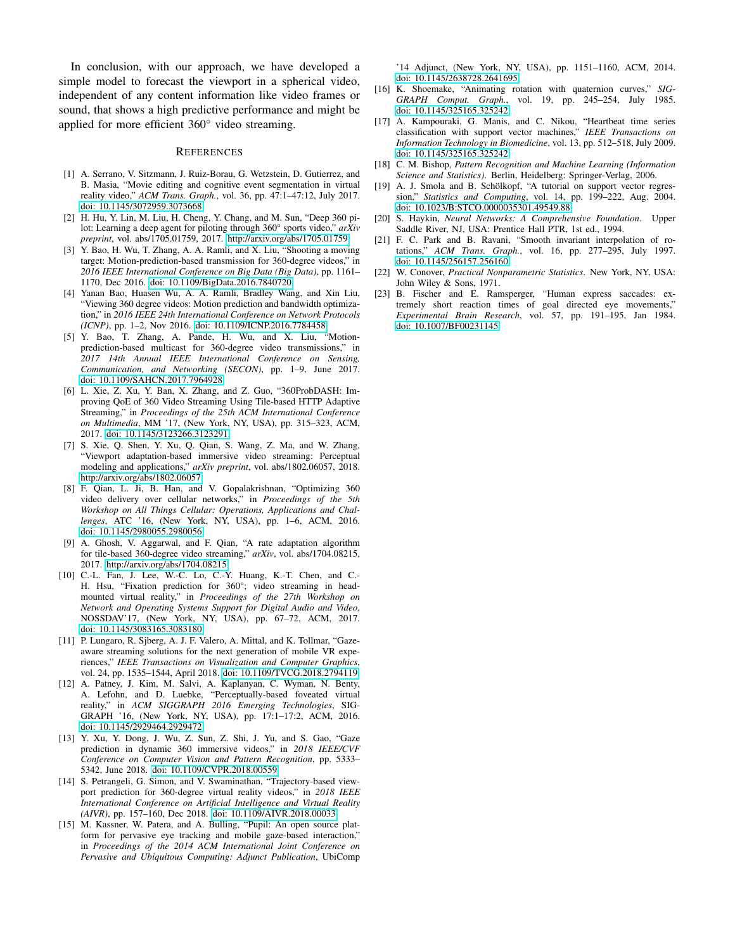In conclusion, with our approach, we have developed a simple model to forecast the viewport in a spherical video, independent of any content information like video frames or sound, that shows a high predictive performance and might be applied for more efficient 360° video streaming.

#### **REFERENCES**

- <span id="page-6-0"></span>[1] A. Serrano, V. Sitzmann, J. Ruiz-Borau, G. Wetzstein, D. Gutierrez, and B. Masia, "Movie editing and cognitive event segmentation in virtual reality video," *ACM Trans. Graph.*, vol. 36, pp. 47:1–47:12, July 2017. [doi: 10.1145/3072959.3073668.](https://doi.org/10.1145/3072959.3073668)
- <span id="page-6-1"></span>[2] H. Hu, Y. Lin, M. Liu, H. Cheng, Y. Chang, and M. Sun, "Deep 360 pilot: Learning a deep agent for piloting through 360° sports video," *arXiv preprint*, vol. abs/1705.01759, 2017. [http://arxiv.org/abs/1705.01759.](http://arxiv.org/abs/1705.01759)
- <span id="page-6-2"></span>[3] Y. Bao, H. Wu, T. Zhang, A. A. Ramli, and X. Liu, "Shooting a moving target: Motion-prediction-based transmission for 360-degree videos," in *2016 IEEE International Conference on Big Data (Big Data)*, pp. 1161– 1170, Dec 2016. [doi: 10.1109/BigData.2016.7840720.](https://doi.org/10.1109/BigData.2016.7840720)
- [4] Yanan Bao, Huasen Wu, A. A. Ramli, Bradley Wang, and Xin Liu, "Viewing 360 degree videos: Motion prediction and bandwidth optimization," in *2016 IEEE 24th International Conference on Network Protocols (ICNP)*, pp. 1–2, Nov 2016. [doi: 10.1109/ICNP.2016.7784458.](https://doi.org/10.1109/ICNP.2016.7784458)
- [5] Y. Bao, T. Zhang, A. Pande, H. Wu, and X. Liu, "Motionprediction-based multicast for 360-degree video transmissions," in *2017 14th Annual IEEE International Conference on Sensing, Communication, and Networking (SECON)*, pp. 1–9, June 2017. [doi: 10.1109/SAHCN.2017.7964928.](https://doi.org/10.1109/SAHCN.2017.7964928)
- [6] L. Xie, Z. Xu, Y. Ban, X. Zhang, and Z. Guo, "360ProbDASH: Improving QoE of 360 Video Streaming Using Tile-based HTTP Adaptive Streaming," in *Proceedings of the 25th ACM International Conference on Multimedia*, MM '17, (New York, NY, USA), pp. 315–323, ACM, 2017. [doi: 10.1145/3123266.3123291.](https://doi.org/10.1145/3123266.3123291)
- [7] S. Xie, Q. Shen, Y. Xu, Q. Qian, S. Wang, Z. Ma, and W. Zhang, "Viewport adaptation-based immersive video streaming: Perceptual modeling and applications," *arXiv preprint*, vol. abs/1802.06057, 2018. [http://arxiv.org/abs/1802.06057.](http://arxiv.org/abs/1802.06057)
- [8] F. Qian, L. Ji, B. Han, and V. Gopalakrishnan, "Optimizing 360 video delivery over cellular networks," in *Proceedings of the 5th Workshop on All Things Cellular: Operations, Applications and Challenges*, ATC '16, (New York, NY, USA), pp. 1–6, ACM, 2016. [doi: 10.1145/2980055.2980056.](https://doi.org/10.1145/2980055.2980056)
- [9] A. Ghosh, V. Aggarwal, and F. Qian, "A rate adaptation algorithm for tile-based 360-degree video streaming," *arXiv*, vol. abs/1704.08215, 2017. [http://arxiv.org/abs/1704.08215.](http://arxiv.org/abs/1704.08215)
- <span id="page-6-3"></span>[10] C.-L. Fan, J. Lee, W.-C. Lo, C.-Y. Huang, K.-T. Chen, and C.- H. Hsu, "Fixation prediction for 360°; video streaming in headmounted virtual reality," in *Proceedings of the 27th Workshop on Network and Operating Systems Support for Digital Audio and Video*, NOSSDAV'17, (New York, NY, USA), pp. 67–72, ACM, 2017. [doi: 10.1145/3083165.3083180.](https://doi.org/10.1145/3083165.3083180)
- <span id="page-6-4"></span>[11] P. Lungaro, R. Sjberg, A. J. F. Valero, A. Mittal, and K. Tollmar, "Gazeaware streaming solutions for the next generation of mobile VR experiences," *IEEE Transactions on Visualization and Computer Graphics*, vol. 24, pp. 1535–1544, April 2018. [doi: 10.1109/TVCG.2018.2794119.](https://doi.org/10.1109/TVCG.2018.2794119)
- <span id="page-6-5"></span>[12] A. Patney, J. Kim, M. Salvi, A. Kaplanyan, C. Wyman, N. Benty, A. Lefohn, and D. Luebke, "Perceptually-based foveated virtual reality," in *ACM SIGGRAPH 2016 Emerging Technologies*, SIG-GRAPH '16, (New York, NY, USA), pp. 17:1–17:2, ACM, 2016. [doi: 10.1145/2929464.2929472.](https://doi.org/10.1145/2929464.2929472)
- <span id="page-6-6"></span>[13] Y. Xu, Y. Dong, J. Wu, Z. Sun, Z. Shi, J. Yu, and S. Gao, "Gaze prediction in dynamic 360 immersive videos," in *2018 IEEE/CVF Conference on Computer Vision and Pattern Recognition*, pp. 5333– 5342, June 2018. [doi: 10.1109/CVPR.2018.00559.](https://doi.org/10.1109/CVPR.2018.00559)
- <span id="page-6-7"></span>[14] S. Petrangeli, G. Simon, and V. Swaminathan, "Trajectory-based viewport prediction for 360-degree virtual reality videos," in *2018 IEEE International Conference on Artificial Intelligence and Virtual Reality (AIVR)*, pp. 157–160, Dec 2018. [doi: 10.1109/AIVR.2018.00033.](https://doi.org/10.1109/AIVR.2018.00033)
- <span id="page-6-8"></span>[15] M. Kassner, W. Patera, and A. Bulling, "Pupil: An open source platform for pervasive eye tracking and mobile gaze-based interaction," in *Proceedings of the 2014 ACM International Joint Conference on Pervasive and Ubiquitous Computing: Adjunct Publication*, UbiComp

'14 Adjunct, (New York, NY, USA), pp. 1151–1160, ACM, 2014. [doi: 10.1145/2638728.2641695.](http://doi.acm.org/10.1145/2638728.2641695)

- <span id="page-6-9"></span>[16] K. Shoemake, "Animating rotation with quaternion curves," *SIG-GRAPH Comput. Graph.*, vol. 19, pp. 245–254, July 1985. [doi: 10.1145/325165.325242.](https://doi.org/10.1145/325165.325242)
- <span id="page-6-10"></span>[17] A. Kampouraki, G. Manis, and C. Nikou, "Heartbeat time series classification with support vector machines," *IEEE Transactions on Information Technology in Biomedicine*, vol. 13, pp. 512–518, July 2009. [doi: 10.1145/325165.325242.](https://doi.org/10.1145/325165.325242)
- <span id="page-6-11"></span>[18] C. M. Bishop, *Pattern Recognition and Machine Learning (Information Science and Statistics)*. Berlin, Heidelberg: Springer-Verlag, 2006.
- <span id="page-6-12"></span>[19] A. J. Smola and B. Schölkopf, "A tutorial on support vector regression," *Statistics and Computing*, vol. 14, pp. 199–222, Aug. 2004. [doi: 10.1023/B:STCO.0000035301.49549.88.](https://doi.org/10.1023/B:STCO.0000035301.49549.88)
- <span id="page-6-13"></span>[20] S. Haykin, *Neural Networks: A Comprehensive Foundation*. Upper Saddle River, NJ, USA: Prentice Hall PTR, 1st ed., 1994.
- <span id="page-6-14"></span>[21] F. C. Park and B. Ravani, "Smooth invariant interpolation of rotations," *ACM Trans. Graph.*, vol. 16, pp. 277–295, July 1997. [doi: 10.1145/256157.256160.](http://doi.acm.org/10.1145/256157.256160)
- <span id="page-6-15"></span>[22] W. Conover, *Practical Nonparametric Statistics*. New York, NY, USA: John Wiley & Sons, 1971.
- <span id="page-6-16"></span>[23] B. Fischer and E. Ramsperger, "Human express saccades: extremely short reaction times of goal directed eye movements," *Experimental Brain Research*, vol. 57, pp. 191–195, Jan 1984. [doi: 10.1007/BF00231145.](https://doi.org/10.1007/BF00231145)